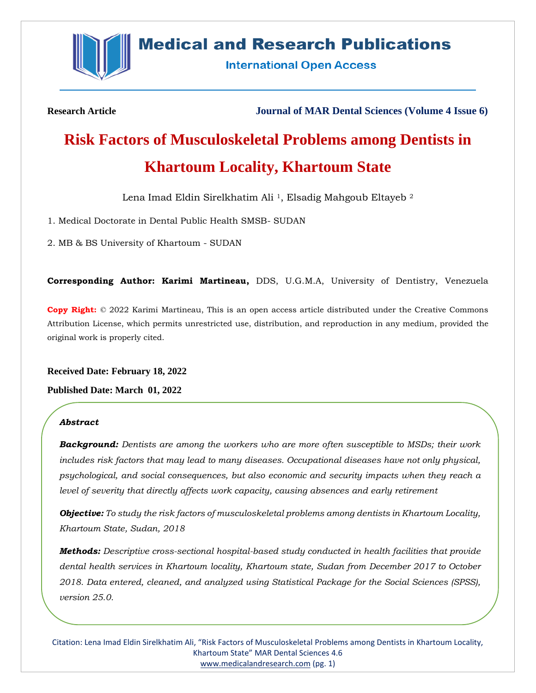

## **Medical and Research Publications**

**International Open Access** 

**Research Article Journal of MAR Dental Sciences (Volume 4 Issue 6)**

# **Risk Factors of Musculoskeletal Problems among Dentists in Khartoum Locality, Khartoum State**

Lena Imad Eldin Sirelkhatim Ali 1, Elsadig Mahgoub Eltayeb <sup>2</sup>

1. Medical Doctorate in Dental Public Health SMSB- SUDAN

2. MB & BS University of Khartoum - SUDAN

### **Corresponding Author: Karimi Martineau,** DDS, U.G.M.A, University of Dentistry, Venezuela

**Copy Right:** © 2022 Karimi Martineau, This is an open access article distributed under the Creative Commons Attribution License, which permits unrestricted use, distribution, and reproduction in any medium, provided the original work is properly cited.

#### **Received Date: February 18, 2022**

**Published Date: March 01, 2022**

#### *Abstract*

*Background: Dentists are among the workers who are more often susceptible to MSDs; their work includes risk factors that may lead to many diseases. Occupational diseases have not only physical, psychological, and social consequences, but also economic and security impacts when they reach a level of severity that directly affects work capacity, causing absences and early retirement*

*Objective: To study the risk factors of musculoskeletal problems among dentists in Khartoum Locality, Khartoum State, Sudan, 2018*

*Methods: Descriptive cross-sectional hospital-based study conducted in health facilities that provide dental health services in Khartoum locality, Khartoum state, Sudan from December 2017 to October 2018. Data entered, cleaned, and analyzed using Statistical Package for the Social Sciences (SPSS), version 25.0.*

Citation: Lena Imad Eldin Sirelkhatim Ali, "Risk Factors of Musculoskeletal Problems among Dentists in Khartoum Locality, Khartoum State" MAR Dental Sciences 4.6 [www.medicalandresearch.com](http://www.medicalandresearch.com/) (pg. 1)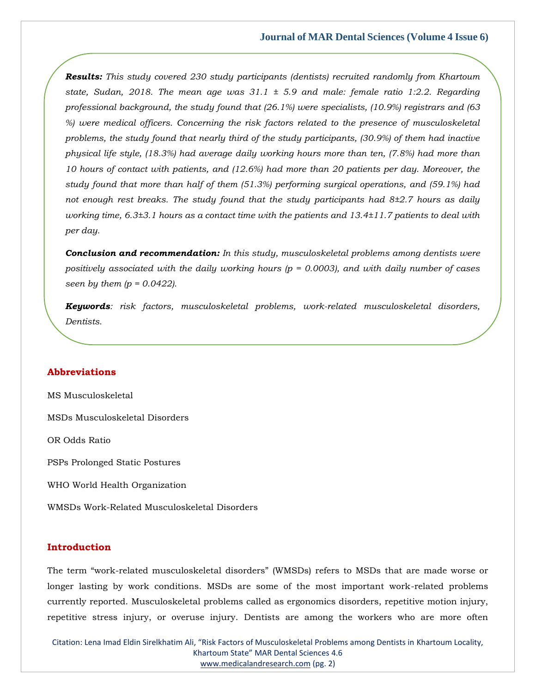*Results: This study covered 230 study participants (dentists) recruited randomly from Khartoum state, Sudan, 2018. The mean age was 31.1 ± 5.9 and male: female ratio 1:2.2. Regarding professional background, the study found that (26.1%) were specialists, (10.9%) registrars and (63 %) were medical officers. Concerning the risk factors related to the presence of musculoskeletal problems, the study found that nearly third of the study participants, (30.9%) of them had inactive physical life style, (18.3%) had average daily working hours more than ten, (7.8%) had more than 10 hours of contact with patients, and (12.6%) had more than 20 patients per day. Moreover, the study found that more than half of them (51.3%) performing surgical operations, and (59.1%) had not enough rest breaks. The study found that the study participants had 8±2.7 hours as daily working time, 6.3±3.1 hours as a contact time with the patients and 13.4±11.7 patients to deal with per day.*

*Conclusion and recommendation: In this study, musculoskeletal problems among dentists were positively associated with the daily working hours (p = 0.0003), and with daily number of cases seen by them (p = 0.0422).*

*Keywords: risk factors, musculoskeletal problems, work-related musculoskeletal disorders, Dentists.*

#### **Abbreviations**

MS Musculoskeletal MSDs Musculoskeletal Disorders OR Odds Ratio PSPs Prolonged Static Postures WHO World Health Organization WMSDs Work-Related Musculoskeletal Disorders

#### **Introduction**

The term "work-related musculoskeletal disorders" (WMSDs) refers to MSDs that are made worse or longer lasting by work conditions. MSDs are some of the most important work-related problems currently reported. Musculoskeletal problems called as ergonomics disorders, repetitive motion injury, repetitive stress injury, or overuse injury. Dentists are among the workers who are more often

Citation: Lena Imad Eldin Sirelkhatim Ali, "Risk Factors of Musculoskeletal Problems among Dentists in Khartoum Locality, Khartoum State" MAR Dental Sciences 4.6 [www.medicalandresearch.com](http://www.medicalandresearch.com/) (pg. 2)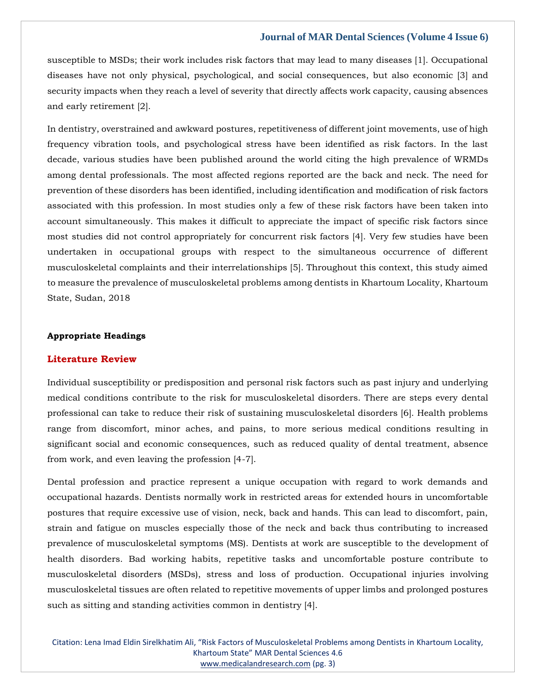susceptible to MSDs; their work includes risk factors that may lead to many diseases [1]. Occupational diseases have not only physical, psychological, and social consequences, but also economic [3] and security impacts when they reach a level of severity that directly affects work capacity, causing absences and early retirement [2].

In dentistry, overstrained and awkward postures, repetitiveness of different joint movements, use of high frequency vibration tools, and psychological stress have been identified as risk factors. In the last decade, various studies have been published around the world citing the high prevalence of WRMDs among dental professionals. The most affected regions reported are the back and neck. The need for prevention of these disorders has been identified, including identification and modification of risk factors associated with this profession. In most studies only a few of these risk factors have been taken into account simultaneously. This makes it difficult to appreciate the impact of specific risk factors since most studies did not control appropriately for concurrent risk factors [4]. Very few studies have been undertaken in occupational groups with respect to the simultaneous occurrence of different musculoskeletal complaints and their interrelationships [5]. Throughout this context, this study aimed to measure the prevalence of musculoskeletal problems among dentists in Khartoum Locality, Khartoum State, Sudan, 2018

#### **Appropriate Headings**

#### **Literature Review**

Individual susceptibility or predisposition and personal risk factors such as past injury and underlying medical conditions contribute to the risk for musculoskeletal disorders. There are steps every dental professional can take to reduce their risk of sustaining musculoskeletal disorders [6]. Health problems range from discomfort, minor aches, and pains, to more serious medical conditions resulting in significant social and economic consequences, such as reduced quality of dental treatment, absence from work, and even leaving the profession [4-7].

Dental profession and practice represent a unique occupation with regard to work demands and occupational hazards. Dentists normally work in restricted areas for extended hours in uncomfortable postures that require excessive use of vision, neck, back and hands. This can lead to discomfort, pain, strain and fatigue on muscles especially those of the neck and back thus contributing to increased prevalence of musculoskeletal symptoms (MS). Dentists at work are susceptible to the development of health disorders. Bad working habits, repetitive tasks and uncomfortable posture contribute to musculoskeletal disorders (MSDs), stress and loss of production. Occupational injuries involving musculoskeletal tissues are often related to repetitive movements of upper limbs and prolonged postures such as sitting and standing activities common in dentistry [4].

Citation: Lena Imad Eldin Sirelkhatim Ali, "Risk Factors of Musculoskeletal Problems among Dentists in Khartoum Locality, Khartoum State" MAR Dental Sciences 4.6 [www.medicalandresearch.com](http://www.medicalandresearch.com/) (pg. 3)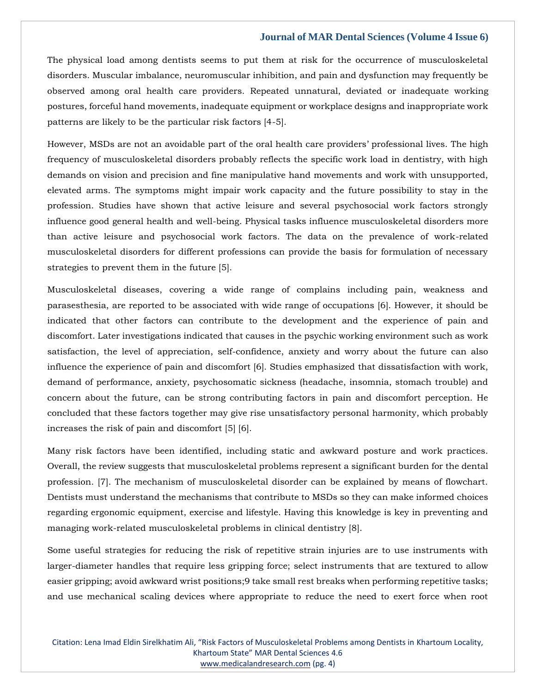The physical load among dentists seems to put them at risk for the occurrence of musculoskeletal disorders. Muscular imbalance, neuromuscular inhibition, and pain and dysfunction may frequently be observed among oral health care providers. Repeated unnatural, deviated or inadequate working postures, forceful hand movements, inadequate equipment or workplace designs and inappropriate work patterns are likely to be the particular risk factors [4-5].

However, MSDs are not an avoidable part of the oral health care providers' professional lives. The high frequency of musculoskeletal disorders probably reflects the specific work load in dentistry, with high demands on vision and precision and fine manipulative hand movements and work with unsupported, elevated arms. The symptoms might impair work capacity and the future possibility to stay in the profession. Studies have shown that active leisure and several psychosocial work factors strongly influence good general health and well-being. Physical tasks influence musculoskeletal disorders more than active leisure and psychosocial work factors. The data on the prevalence of work-related musculoskeletal disorders for different professions can provide the basis for formulation of necessary strategies to prevent them in the future [5].

Musculoskeletal diseases, covering a wide range of complains including pain, weakness and parasesthesia, are reported to be associated with wide range of occupations [6]. However, it should be indicated that other factors can contribute to the development and the experience of pain and discomfort. Later investigations indicated that causes in the psychic working environment such as work satisfaction, the level of appreciation, self-confidence, anxiety and worry about the future can also influence the experience of pain and discomfort [6]. Studies emphasized that dissatisfaction with work, demand of performance, anxiety, psychosomatic sickness (headache, insomnia, stomach trouble) and concern about the future, can be strong contributing factors in pain and discomfort perception. He concluded that these factors together may give rise unsatisfactory personal harmonity, which probably increases the risk of pain and discomfort [5] [6].

Many risk factors have been identified, including static and awkward posture and work practices. Overall, the review suggests that musculoskeletal problems represent a significant burden for the dental profession. [7]. The mechanism of musculoskeletal disorder can be explained by means of flowchart. Dentists must understand the mechanisms that contribute to MSDs so they can make informed choices regarding ergonomic equipment, exercise and lifestyle. Having this knowledge is key in preventing and managing work-related musculoskeletal problems in clinical dentistry [8].

Some useful strategies for reducing the risk of repetitive strain injuries are to use instruments with larger-diameter handles that require less gripping force; select instruments that are textured to allow easier gripping; avoid awkward wrist positions;9 take small rest breaks when performing repetitive tasks; and use mechanical scaling devices where appropriate to reduce the need to exert force when root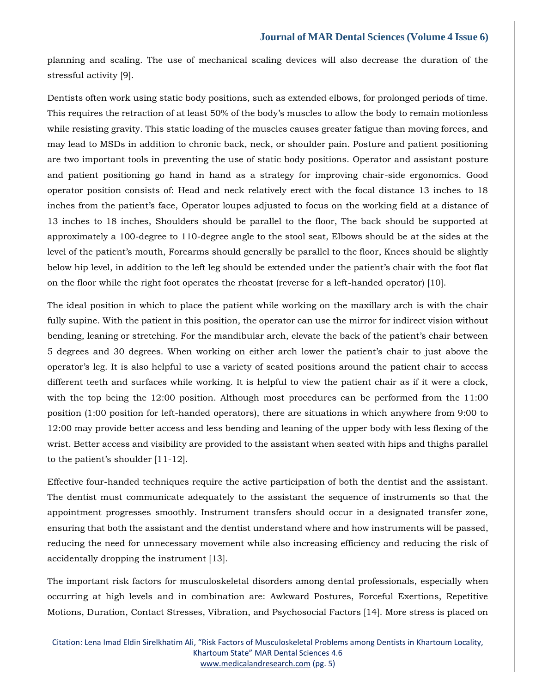planning and scaling. The use of mechanical scaling devices will also decrease the duration of the stressful activity [9].

Dentists often work using static body positions, such as extended elbows, for prolonged periods of time. This requires the retraction of at least 50% of the body's muscles to allow the body to remain motionless while resisting gravity. This static loading of the muscles causes greater fatigue than moving forces, and may lead to MSDs in addition to chronic back, neck, or shoulder pain. Posture and patient positioning are two important tools in preventing the use of static body positions. Operator and assistant posture and patient positioning go hand in hand as a strategy for improving chair-side ergonomics. Good operator position consists of: Head and neck relatively erect with the focal distance 13 inches to 18 inches from the patient's face, Operator loupes adjusted to focus on the working field at a distance of 13 inches to 18 inches, Shoulders should be parallel to the floor, The back should be supported at approximately a 100-degree to 110-degree angle to the stool seat, Elbows should be at the sides at the level of the patient's mouth, Forearms should generally be parallel to the floor, Knees should be slightly below hip level, in addition to the left leg should be extended under the patient's chair with the foot flat on the floor while the right foot operates the rheostat (reverse for a left-handed operator) [10].

The ideal position in which to place the patient while working on the maxillary arch is with the chair fully supine. With the patient in this position, the operator can use the mirror for indirect vision without bending, leaning or stretching. For the mandibular arch, elevate the back of the patient's chair between 5 degrees and 30 degrees. When working on either arch lower the patient's chair to just above the operator's leg. It is also helpful to use a variety of seated positions around the patient chair to access different teeth and surfaces while working. It is helpful to view the patient chair as if it were a clock, with the top being the 12:00 position. Although most procedures can be performed from the 11:00 position (1:00 position for left-handed operators), there are situations in which anywhere from 9:00 to 12:00 may provide better access and less bending and leaning of the upper body with less flexing of the wrist. Better access and visibility are provided to the assistant when seated with hips and thighs parallel to the patient's shoulder [11-12].

Effective four-handed techniques require the active participation of both the dentist and the assistant. The dentist must communicate adequately to the assistant the sequence of instruments so that the appointment progresses smoothly. Instrument transfers should occur in a designated transfer zone, ensuring that both the assistant and the dentist understand where and how instruments will be passed, reducing the need for unnecessary movement while also increasing efficiency and reducing the risk of accidentally dropping the instrument [13].

The important risk factors for musculoskeletal disorders among dental professionals, especially when occurring at high levels and in combination are: Awkward Postures, Forceful Exertions, Repetitive Motions, Duration, Contact Stresses, Vibration, and Psychosocial Factors [14]. More stress is placed on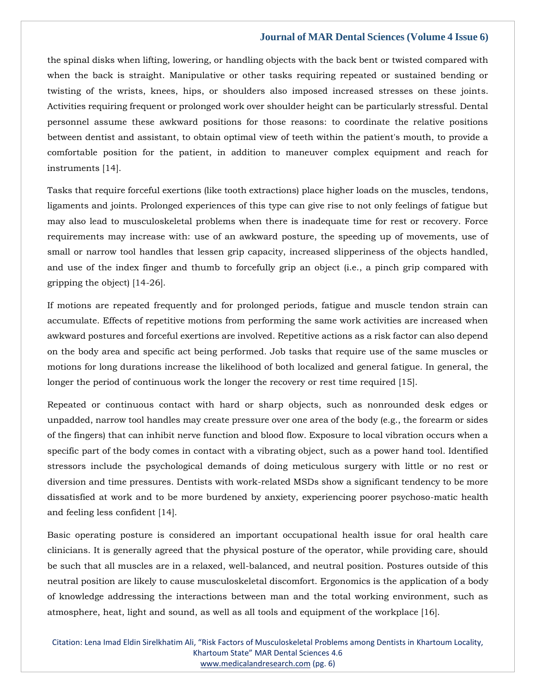the spinal disks when lifting, lowering, or handling objects with the back bent or twisted compared with when the back is straight. Manipulative or other tasks requiring repeated or sustained bending or twisting of the wrists, knees, hips, or shoulders also imposed increased stresses on these joints. Activities requiring frequent or prolonged work over shoulder height can be particularly stressful. Dental personnel assume these awkward positions for those reasons: to coordinate the relative positions between dentist and assistant, to obtain optimal view of teeth within the patient's mouth, to provide a comfortable position for the patient, in addition to maneuver complex equipment and reach for instruments [14].

Tasks that require forceful exertions (like tooth extractions) place higher loads on the muscles, tendons, ligaments and joints. Prolonged experiences of this type can give rise to not only feelings of fatigue but may also lead to musculoskeletal problems when there is inadequate time for rest or recovery. Force requirements may increase with: use of an awkward posture, the speeding up of movements, use of small or narrow tool handles that lessen grip capacity, increased slipperiness of the objects handled, and use of the index finger and thumb to forcefully grip an object (i.e., a pinch grip compared with gripping the object) [14-26].

If motions are repeated frequently and for prolonged periods, fatigue and muscle tendon strain can accumulate. Effects of repetitive motions from performing the same work activities are increased when awkward postures and forceful exertions are involved. Repetitive actions as a risk factor can also depend on the body area and specific act being performed. Job tasks that require use of the same muscles or motions for long durations increase the likelihood of both localized and general fatigue. In general, the longer the period of continuous work the longer the recovery or rest time required [15].

Repeated or continuous contact with hard or sharp objects, such as nonrounded desk edges or unpadded, narrow tool handles may create pressure over one area of the body (e.g., the forearm or sides of the fingers) that can inhibit nerve function and blood flow. Exposure to local vibration occurs when a specific part of the body comes in contact with a vibrating object, such as a power hand tool. Identified stressors include the psychological demands of doing meticulous surgery with little or no rest or diversion and time pressures. Dentists with work-related MSDs show a significant tendency to be more dissatisfied at work and to be more burdened by anxiety, experiencing poorer psychoso-matic health and feeling less confident [14].

Basic operating posture is considered an important occupational health issue for oral health care clinicians. It is generally agreed that the physical posture of the operator, while providing care, should be such that all muscles are in a relaxed, well-balanced, and neutral position. Postures outside of this neutral position are likely to cause musculoskeletal discomfort. Ergonomics is the application of a body of knowledge addressing the interactions between man and the total working environment, such as atmosphere, heat, light and sound, as well as all tools and equipment of the workplace [16].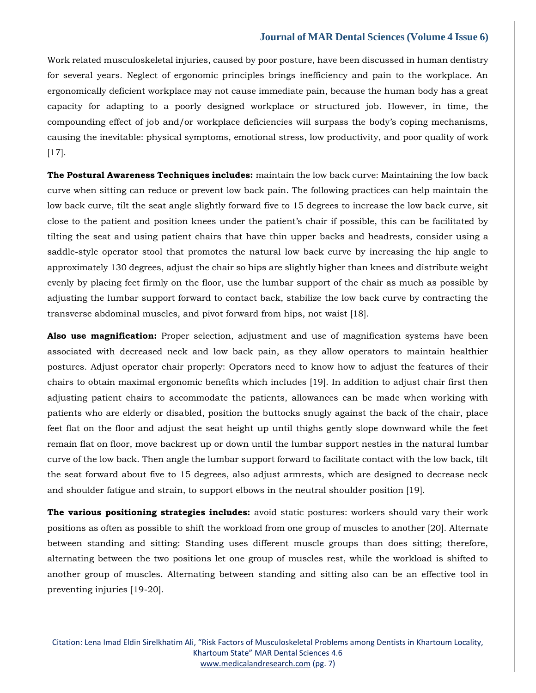Work related musculoskeletal injuries, caused by poor posture, have been discussed in human dentistry for several years. Neglect of ergonomic principles brings inefficiency and pain to the workplace. An ergonomically deficient workplace may not cause immediate pain, because the human body has a great capacity for adapting to a poorly designed workplace or structured job. However, in time, the compounding effect of job and/or workplace deficiencies will surpass the body's coping mechanisms, causing the inevitable: physical symptoms, emotional stress, low productivity, and poor quality of work [17].

**The Postural Awareness Techniques includes:** maintain the low back curve: Maintaining the low back curve when sitting can reduce or prevent low back pain. The following practices can help maintain the low back curve, tilt the seat angle slightly forward five to 15 degrees to increase the low back curve, sit close to the patient and position knees under the patient's chair if possible, this can be facilitated by tilting the seat and using patient chairs that have thin upper backs and headrests, consider using a saddle-style operator stool that promotes the natural low back curve by increasing the hip angle to approximately 130 degrees, adjust the chair so hips are slightly higher than knees and distribute weight evenly by placing feet firmly on the floor, use the lumbar support of the chair as much as possible by adjusting the lumbar support forward to contact back, stabilize the low back curve by contracting the transverse abdominal muscles, and pivot forward from hips, not waist [18].

**Also use magnification:** Proper selection, adjustment and use of magnification systems have been associated with decreased neck and low back pain, as they allow operators to maintain healthier postures. Adjust operator chair properly: Operators need to know how to adjust the features of their chairs to obtain maximal ergonomic benefits which includes [19]. In addition to adjust chair first then adjusting patient chairs to accommodate the patients, allowances can be made when working with patients who are elderly or disabled, position the buttocks snugly against the back of the chair, place feet flat on the floor and adjust the seat height up until thighs gently slope downward while the feet remain flat on floor, move backrest up or down until the lumbar support nestles in the natural lumbar curve of the low back. Then angle the lumbar support forward to facilitate contact with the low back, tilt the seat forward about five to 15 degrees, also adjust armrests, which are designed to decrease neck and shoulder fatigue and strain, to support elbows in the neutral shoulder position [19].

**The various positioning strategies includes:** avoid static postures: workers should vary their work positions as often as possible to shift the workload from one group of muscles to another [20]. Alternate between standing and sitting: Standing uses different muscle groups than does sitting; therefore, alternating between the two positions let one group of muscles rest, while the workload is shifted to another group of muscles. Alternating between standing and sitting also can be an effective tool in preventing injuries [19-20].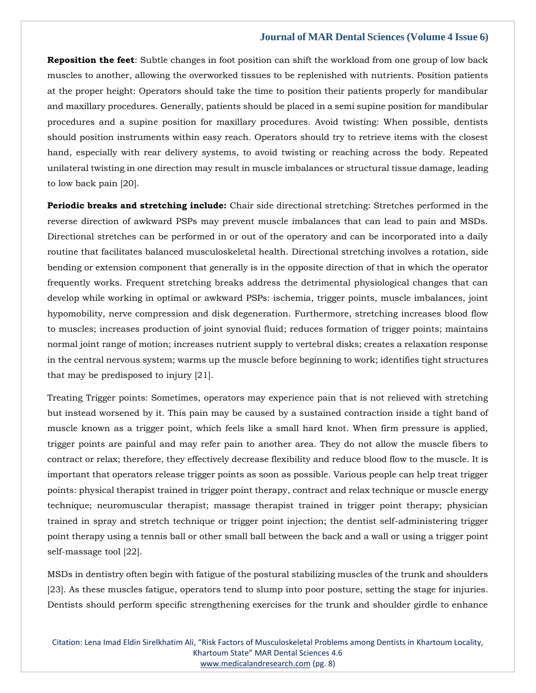**Reposition the feet**: Subtle changes in foot position can shift the workload from one group of low back muscles to another, allowing the overworked tissues to be replenished with nutrients. Position patients at the proper height: Operators should take the time to position their patients properly for mandibular and maxillary procedures. Generally, patients should be placed in a semi supine position for mandibular procedures and a supine position for maxillary procedures. Avoid twisting: When possible, dentists should position instruments within easy reach. Operators should try to retrieve items with the closest hand, especially with rear delivery systems, to avoid twisting or reaching across the body. Repeated unilateral twisting in one direction may result in muscle imbalances or structural tissue damage, leading to low back pain [20].

**Periodic breaks and stretching include:** Chair side directional stretching: Stretches performed in the reverse direction of awkward PSPs may prevent muscle imbalances that can lead to pain and MSDs. Directional stretches can be performed in or out of the operatory and can be incorporated into a daily routine that facilitates balanced musculoskeletal health. Directional stretching involves a rotation, side bending or extension component that generally is in the opposite direction of that in which the operator frequently works. Frequent stretching breaks address the detrimental physiological changes that can develop while working in optimal or awkward PSPs: ischemia, trigger points, muscle imbalances, joint hypomobility, nerve compression and disk degeneration. Furthermore, stretching increases blood flow to muscles; increases production of joint synovial fluid; reduces formation of trigger points; maintains normal joint range of motion; increases nutrient supply to vertebral disks; creates a relaxation response in the central nervous system; warms up the muscle before beginning to work; identifies tight structures that may be predisposed to injury [21].

Treating Trigger points: Sometimes, operators may experience pain that is not relieved with stretching but instead worsened by it. This pain may be caused by a sustained contraction inside a tight band of muscle known as a trigger point, which feels like a small hard knot. When firm pressure is applied, trigger points are painful and may refer pain to another area. They do not allow the muscle fibers to contract or relax; therefore, they effectively decrease flexibility and reduce blood flow to the muscle. It is important that operators release trigger points as soon as possible. Various people can help treat trigger points: physical therapist trained in trigger point therapy, contract and relax technique or muscle energy technique; neuromuscular therapist; massage therapist trained in trigger point therapy; physician trained in spray and stretch technique or trigger point injection; the dentist self-administering trigger point therapy using a tennis ball or other small ball between the back and a wall or using a trigger point self-massage tool [22].

MSDs in dentistry often begin with fatigue of the postural stabilizing muscles of the trunk and shoulders [23]. As these muscles fatigue, operators tend to slump into poor posture, setting the stage for injuries. Dentists should perform specific strengthening exercises for the trunk and shoulder girdle to enhance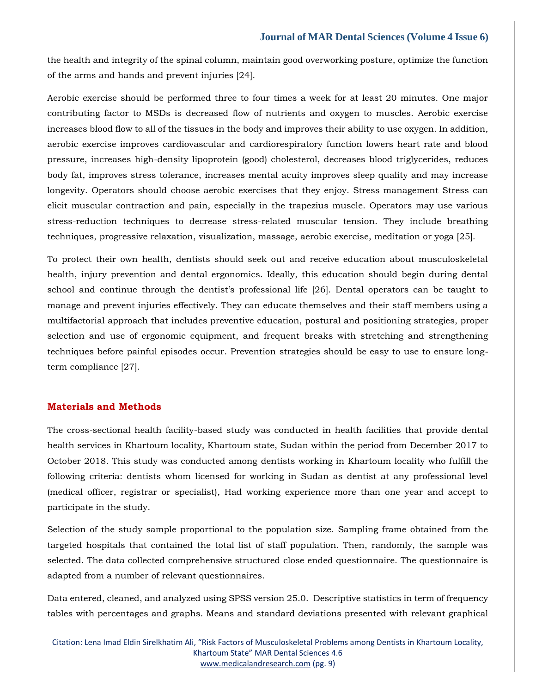the health and integrity of the spinal column, maintain good overworking posture, optimize the function of the arms and hands and prevent injuries [24].

Aerobic exercise should be performed three to four times a week for at least 20 minutes. One major contributing factor to MSDs is decreased flow of nutrients and oxygen to muscles. Aerobic exercise increases blood flow to all of the tissues in the body and improves their ability to use oxygen. In addition, aerobic exercise improves cardiovascular and cardiorespiratory function lowers heart rate and blood pressure, increases high-density lipoprotein (good) cholesterol, decreases blood triglycerides, reduces body fat, improves stress tolerance, increases mental acuity improves sleep quality and may increase longevity. Operators should choose aerobic exercises that they enjoy. Stress management Stress can elicit muscular contraction and pain, especially in the trapezius muscle. Operators may use various stress-reduction techniques to decrease stress-related muscular tension. They include breathing techniques, progressive relaxation, visualization, massage, aerobic exercise, meditation or yoga [25].

To protect their own health, dentists should seek out and receive education about musculoskeletal health, injury prevention and dental ergonomics. Ideally, this education should begin during dental school and continue through the dentist's professional life [26]. Dental operators can be taught to manage and prevent injuries effectively. They can educate themselves and their staff members using a multifactorial approach that includes preventive education, postural and positioning strategies, proper selection and use of ergonomic equipment, and frequent breaks with stretching and strengthening techniques before painful episodes occur. Prevention strategies should be easy to use to ensure longterm compliance [27].

#### **Materials and Methods**

The cross-sectional health facility-based study was conducted in health facilities that provide dental health services in Khartoum locality, Khartoum state, Sudan within the period from December 2017 to October 2018. This study was conducted among dentists working in Khartoum locality who fulfill the following criteria: dentists whom licensed for working in Sudan as dentist at any professional level (medical officer, registrar or specialist), Had working experience more than one year and accept to participate in the study.

Selection of the study sample proportional to the population size. Sampling frame obtained from the targeted hospitals that contained the total list of staff population. Then, randomly, the sample was selected. The data collected comprehensive structured close ended questionnaire. The questionnaire is adapted from a number of relevant questionnaires.

Data entered, cleaned, and analyzed using SPSS version 25.0. Descriptive statistics in term of frequency tables with percentages and graphs. Means and standard deviations presented with relevant graphical

Citation: Lena Imad Eldin Sirelkhatim Ali, "Risk Factors of Musculoskeletal Problems among Dentists in Khartoum Locality, Khartoum State" MAR Dental Sciences 4.6 [www.medicalandresearch.com](http://www.medicalandresearch.com/) (pg. 9)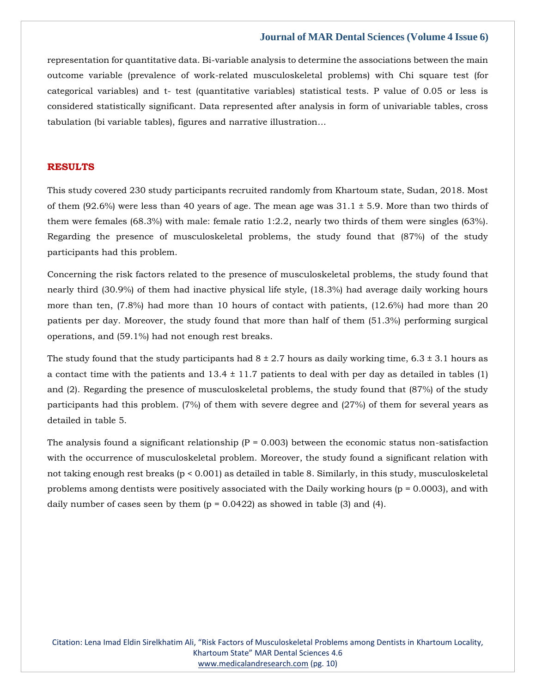representation for quantitative data. Bi-variable analysis to determine the associations between the main outcome variable (prevalence of work-related musculoskeletal problems) with Chi square test (for categorical variables) and t- test (quantitative variables) statistical tests. P value of 0.05 or less is considered statistically significant. Data represented after analysis in form of univariable tables, cross tabulation (bi variable tables), figures and narrative illustration…

#### **RESULTS**

This study covered 230 study participants recruited randomly from Khartoum state, Sudan, 2018. Most of them (92.6%) were less than 40 years of age. The mean age was  $31.1 \pm 5.9$ . More than two thirds of them were females (68.3%) with male: female ratio 1:2.2, nearly two thirds of them were singles (63%). Regarding the presence of musculoskeletal problems, the study found that (87%) of the study participants had this problem.

Concerning the risk factors related to the presence of musculoskeletal problems, the study found that nearly third (30.9%) of them had inactive physical life style, (18.3%) had average daily working hours more than ten, (7.8%) had more than 10 hours of contact with patients, (12.6%) had more than 20 patients per day. Moreover, the study found that more than half of them (51.3%) performing surgical operations, and (59.1%) had not enough rest breaks.

The study found that the study participants had  $8 \pm 2.7$  hours as daily working time,  $6.3 \pm 3.1$  hours as a contact time with the patients and  $13.4 \pm 11.7$  patients to deal with per day as detailed in tables (1) and (2). Regarding the presence of musculoskeletal problems, the study found that (87%) of the study participants had this problem. (7%) of them with severe degree and (27%) of them for several years as detailed in table 5.

The analysis found a significant relationship ( $P = 0.003$ ) between the economic status non-satisfaction with the occurrence of musculoskeletal problem. Moreover, the study found a significant relation with not taking enough rest breaks (p < 0.001) as detailed in table 8. Similarly, in this study, musculoskeletal problems among dentists were positively associated with the Daily working hours (p = 0.0003), and with daily number of cases seen by them  $(p = 0.0422)$  as showed in table (3) and (4).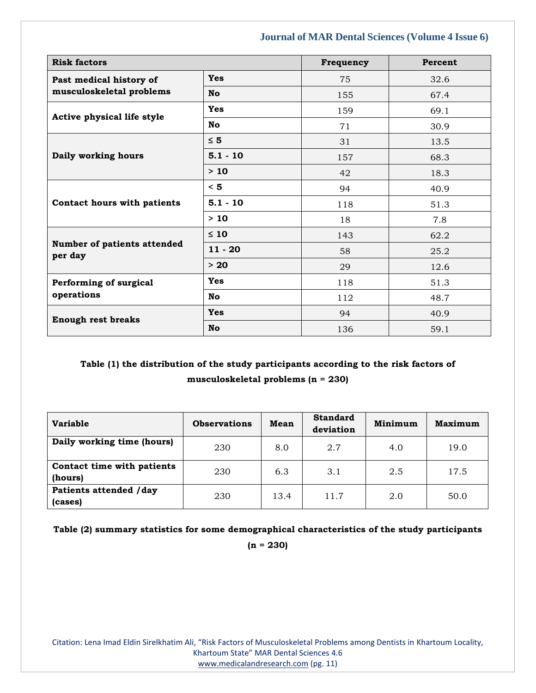| <b>Risk factors</b>                    |            | Frequency | Percent |  |
|----------------------------------------|------------|-----------|---------|--|
| Past medical history of                | <b>Yes</b> | 75        | 32.6    |  |
| musculoskeletal problems               | <b>No</b>  | 155       | 67.4    |  |
| Active physical life style             | <b>Yes</b> | 159       | 69.1    |  |
|                                        | <b>No</b>  | 71        | 30.9    |  |
| Daily working hours                    | $\leq 5$   | 31        | 13.5    |  |
|                                        | $5.1 - 10$ | 157       | 68.3    |  |
|                                        | $>10$      | 42        | 18.3    |  |
| Contact hours with patients            | < 5        | 94        | 40.9    |  |
|                                        | $5.1 - 10$ | 118       | 51.3    |  |
|                                        | $>10$      | 18        | 7.8     |  |
| Number of patients attended<br>per day | $\leq 10$  | 143       | 62.2    |  |
|                                        | $11 - 20$  | 58        | 25.2    |  |
|                                        | $>20$      | 29        | 12.6    |  |
| Performing of surgical<br>operations   | <b>Yes</b> | 118       | 51.3    |  |
|                                        | <b>No</b>  | 112       | 48.7    |  |
| <b>Enough rest breaks</b>              | <b>Yes</b> | 94        | 40.9    |  |
|                                        | No         | 136       | 59.1    |  |

## **Table (1) the distribution of the study participants according to the risk factors of musculoskeletal problems (n = 230)**

| <b>Variable</b>                       | <b>Observations</b> | Mean | <b>Standard</b><br>deviation | Minimum | Maximum |
|---------------------------------------|---------------------|------|------------------------------|---------|---------|
| Daily working time (hours)            | 230                 | 8.0  | 2.7                          | 4.0     | 19.0    |
| Contact time with patients<br>(hours) | 230                 | 6.3  | 3.1                          | 2.5     | 17.5    |
| Patients attended /day<br>(cases)     | 230                 | 13.4 | 11.7                         | 2.0     | 50.0    |

**Table (2) summary statistics for some demographical characteristics of the study participants (n = 230)**

Citation: Lena Imad Eldin Sirelkhatim Ali, "Risk Factors of Musculoskeletal Problems among Dentists in Khartoum Locality, Khartoum State" MAR Dental Sciences 4.6 [www.medicalandresearch.com](http://www.medicalandresearch.com/) (pg. 11)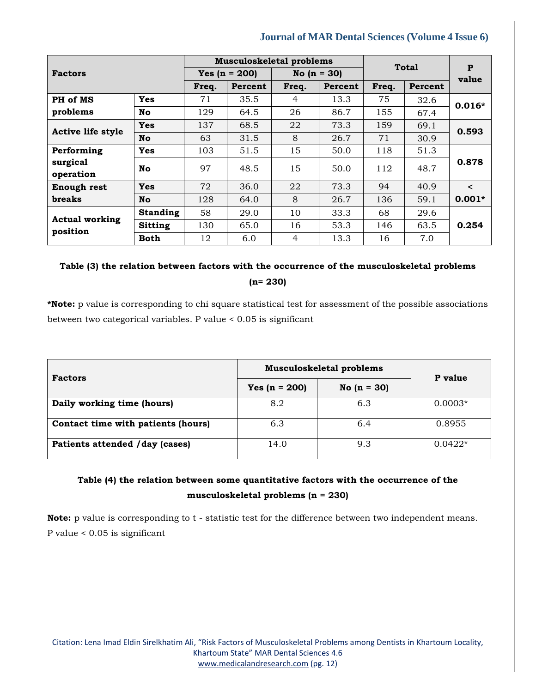| <b>Factors</b>                    |                 | <b>Musculoskeletal problems</b> |         |               |         |              |         |            |
|-----------------------------------|-----------------|---------------------------------|---------|---------------|---------|--------------|---------|------------|
|                                   |                 | Yes $(n = 200)$                 |         | No $(n = 30)$ |         | <b>Total</b> |         | P<br>value |
|                                   |                 | Freq.                           | Percent | Freq.         | Percent | Freq.        | Percent |            |
| PH of MS                          | <b>Yes</b>      | 71                              | 35.5    | 4             | 13.3    | 75           | 32.6    | $0.016*$   |
| problems                          | No              | 129                             | 64.5    | 26            | 86.7    | 155          | 67.4    |            |
| Active life style                 | <b>Yes</b>      | 137                             | 68.5    | 22            | 73.3    | 159          | 69.1    | 0.593      |
|                                   | <b>No</b>       | 63                              | 31.5    | 8             | 26.7    | 71           | 30.9    |            |
| Performing                        | <b>Yes</b>      | 103                             | 51.5    | 15            | 50.0    | 118          | 51.3    |            |
| surgical<br>operation             | No              | 97                              | 48.5    | 15            | 50.0    | 112          | 48.7    | 0.878      |
| <b>Enough rest</b>                | <b>Yes</b>      | 72                              | 36.0    | 22            | 73.3    | 94           | 40.9    | $\prec$    |
| breaks                            | No              | 128                             | 64.0    | 8             | 26.7    | 136          | 59.1    | $0.001*$   |
|                                   | <b>Standing</b> | 58                              | 29.0    | 10            | 33.3    | 68           | 29.6    |            |
| <b>Actual working</b><br>position | <b>Sitting</b>  | 130                             | 65.0    | 16            | 53.3    | 146          | 63.5    | 0.254      |
|                                   | <b>Both</b>     | 12                              | 6.0     | 4             | 13.3    | 16           | 7.0     |            |

## **Table (3) the relation between factors with the occurrence of the musculoskeletal problems (n= 230)**

**\*Note:** p value is corresponding to chi square statistical test for assessment of the possible associations between two categorical variables. P value < 0.05 is significant

| <b>Factors</b>                     | Musculoskeletal problems | P value       |           |
|------------------------------------|--------------------------|---------------|-----------|
|                                    | Yes $(n = 200)$          | No $(n = 30)$ |           |
| Daily working time (hours)         | 8.2                      | 6.3           | $0.0003*$ |
| Contact time with patients (hours) | 6.3                      | 6.4           | 0.8955    |
| Patients attended /day (cases)     | 14.0                     | 9.3           | $0.0422*$ |

## **Table (4) the relation between some quantitative factors with the occurrence of the musculoskeletal problems (n = 230)**

**Note:** p value is corresponding to t - statistic test for the difference between two independent means. P value < 0.05 is significant

Citation: Lena Imad Eldin Sirelkhatim Ali, "Risk Factors of Musculoskeletal Problems among Dentists in Khartoum Locality, Khartoum State" MAR Dental Sciences 4.6 [www.medicalandresearch.com](http://www.medicalandresearch.com/) (pg. 12)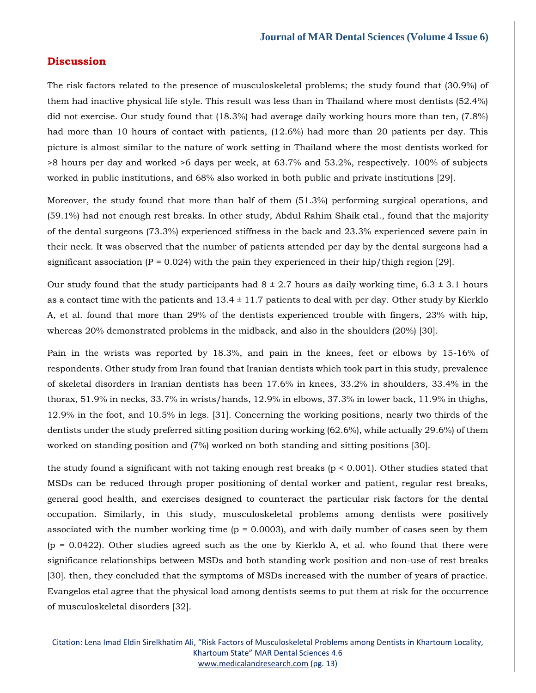#### **Discussion**

The risk factors related to the presence of musculoskeletal problems; the study found that (30.9%) of them had inactive physical life style. This result was less than in Thailand where most dentists (52.4%) did not exercise. Our study found that (18.3%) had average daily working hours more than ten, (7.8%) had more than 10 hours of contact with patients, (12.6%) had more than 20 patients per day. This picture is almost similar to the nature of work setting in Thailand where the most dentists worked for >8 hours per day and worked >6 days per week, at 63.7% and 53.2%, respectively. 100% of subjects worked in public institutions, and 68% also worked in both public and private institutions [29].

Moreover, the study found that more than half of them (51.3%) performing surgical operations, and (59.1%) had not enough rest breaks. In other study, Abdul Rahim Shaik etal., found that the majority of the dental surgeons (73.3%) experienced stiffness in the back and 23.3% experienced severe pain in their neck. It was observed that the number of patients attended per day by the dental surgeons had a significant association ( $P = 0.024$ ) with the pain they experienced in their hip/thigh region [29].

Our study found that the study participants had  $8 \pm 2.7$  hours as daily working time,  $6.3 \pm 3.1$  hours as a contact time with the patients and  $13.4 \pm 11.7$  patients to deal with per day. Other study by Kierklo A, et al. found that more than 29% of the dentists experienced trouble with fingers, 23% with hip, whereas 20% demonstrated problems in the midback, and also in the shoulders (20%) [30].

Pain in the wrists was reported by 18.3%, and pain in the knees, feet or elbows by 15-16% of respondents. Other study from Iran found that Iranian dentists which took part in this study, prevalence of skeletal disorders in Iranian dentists has been 17.6% in knees, 33.2% in shoulders, 33.4% in the thorax, 51.9% in necks, 33.7% in wrists/hands, 12.9% in elbows, 37.3% in lower back, 11.9% in thighs, 12.9% in the foot, and 10.5% in legs. [31]. Concerning the working positions, nearly two thirds of the dentists under the study preferred sitting position during working (62.6%), while actually 29.6%) of them worked on standing position and (7%) worked on both standing and sitting positions [30].

the study found a significant with not taking enough rest breaks (p < 0.001). Other studies stated that MSDs can be reduced through proper positioning of dental worker and patient, regular rest breaks, general good health, and exercises designed to counteract the particular risk factors for the dental occupation. Similarly, in this study, musculoskeletal problems among dentists were positively associated with the number working time  $(p = 0.0003)$ , and with daily number of cases seen by them  $(p = 0.0422)$ . Other studies agreed such as the one by Kierklo A, et al. who found that there were significance relationships between MSDs and both standing work position and non-use of rest breaks [30]. then, they concluded that the symptoms of MSDs increased with the number of years of practice. Evangelos etal agree that the physical load among dentists seems to put them at risk for the occurrence of musculoskeletal disorders [32].

Citation: Lena Imad Eldin Sirelkhatim Ali, "Risk Factors of Musculoskeletal Problems among Dentists in Khartoum Locality, Khartoum State" MAR Dental Sciences 4.6 [www.medicalandresearch.com](http://www.medicalandresearch.com/) (pg. 13)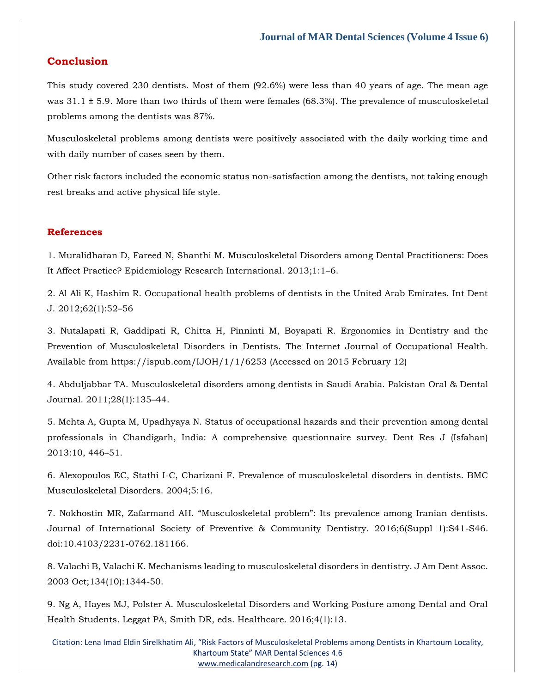#### **Conclusion**

This study covered 230 dentists. Most of them (92.6%) were less than 40 years of age. The mean age was  $31.1 \pm 5.9$ . More than two thirds of them were females (68.3%). The prevalence of musculoskeletal problems among the dentists was 87%.

Musculoskeletal problems among dentists were positively associated with the daily working time and with daily number of cases seen by them.

Other risk factors included the economic status non-satisfaction among the dentists, not taking enough rest breaks and active physical life style.

#### **References**

[1. Muralidharan D, Fareed N, Shanthi M. Musculoskeletal Disorders among Dental Practitioners: Does](https://www.google.com/search?q=Musculoskeletal+Disorders+among+Dental+Practitioners&oq=Musculoskeletal+Disorders+among+Dental+Practitioners&aqs=chrome..69i57j0i22i30l2.1069j0j7&sourceid=chrome&ie=UTF-8)  [It Affect Practice? Epidemiology Research International. 2013;1:1](https://www.google.com/search?q=Musculoskeletal+Disorders+among+Dental+Practitioners&oq=Musculoskeletal+Disorders+among+Dental+Practitioners&aqs=chrome..69i57j0i22i30l2.1069j0j7&sourceid=chrome&ie=UTF-8)–6.

[2. Al Ali K, Hashim R. Occupational health problems of dentists in the United Arab Emirates. Int Dent](https://www.google.com/search?q=Occupational+health+problems+of+dentists+in+the+United+Arab+Emirates&sxsrf=APq-WBtCuAe3JpX8E0D4vSIKKuWF2dUUtg%3A1645437983780&ei=H2QTYqfVLpSTseMPj9a7qAQ&ved=0ahUKEwjn4JaUxpD2AhWUSWwGHQ_rDkUQ4dUDCA4&oq=Occupational+health+problems+of+dentists+in+the+United+Arab+Emirates&gs_lcp=Cgdnd3Mtd2l6EAwyBAgjECc6BwgjEOoCECdKBAhBGABKBAhGGABQHFgcYPkEaAFwAXgAgAFliAFlkgEDMC4xmAEAoAEBoAECsAEKwAEB&sclient=gws-wiz)  [J. 2012;62\(1\):52](https://www.google.com/search?q=Occupational+health+problems+of+dentists+in+the+United+Arab+Emirates&sxsrf=APq-WBtCuAe3JpX8E0D4vSIKKuWF2dUUtg%3A1645437983780&ei=H2QTYqfVLpSTseMPj9a7qAQ&ved=0ahUKEwjn4JaUxpD2AhWUSWwGHQ_rDkUQ4dUDCA4&oq=Occupational+health+problems+of+dentists+in+the+United+Arab+Emirates&gs_lcp=Cgdnd3Mtd2l6EAwyBAgjECc6BwgjEOoCECdKBAhBGABKBAhGGABQHFgcYPkEaAFwAXgAgAFliAFlkgEDMC4xmAEAoAEBoAECsAEKwAEB&sclient=gws-wiz)–56

[3. Nutalapati R, Gaddipati R, Chitta H, Pinninti M, Boyapati R. Ergonomics in Dentistry and the](file:///C:/Users/Arief%20Mahimudh/Desktop/3.%20Nutalapati%20R,%20Gaddipati%20R,%20Chitta%20H,%20Pinninti%20M,%20Boyapati%20R.%20Ergonomics%20in%20Dentistry%20and%20the%20Prevention%20of%20Musculoskeletal%20Disorders%20in%20Dentists.%20The%20Internet%20Journal%20of%20Occupational%20Health.%20Available%20from%20https:/ispub.com/IJOH/1/1/6253%20(Accessed%20on%202015%20February%2012))  [Prevention of Musculoskeletal Disorders in Dentists. The Internet Journal of Occupational Health.](file:///C:/Users/Arief%20Mahimudh/Desktop/3.%20Nutalapati%20R,%20Gaddipati%20R,%20Chitta%20H,%20Pinninti%20M,%20Boyapati%20R.%20Ergonomics%20in%20Dentistry%20and%20the%20Prevention%20of%20Musculoskeletal%20Disorders%20in%20Dentists.%20The%20Internet%20Journal%20of%20Occupational%20Health.%20Available%20from%20https:/ispub.com/IJOH/1/1/6253%20(Accessed%20on%202015%20February%2012))  [Available from https://ispub.com/IJOH/1/1/6253 \(Accessed on 2015 February 12\)](file:///C:/Users/Arief%20Mahimudh/Desktop/3.%20Nutalapati%20R,%20Gaddipati%20R,%20Chitta%20H,%20Pinninti%20M,%20Boyapati%20R.%20Ergonomics%20in%20Dentistry%20and%20the%20Prevention%20of%20Musculoskeletal%20Disorders%20in%20Dentists.%20The%20Internet%20Journal%20of%20Occupational%20Health.%20Available%20from%20https:/ispub.com/IJOH/1/1/6253%20(Accessed%20on%202015%20February%2012))

[4. Abduljabbar TA. Musculoskeletal disorders among dentists in Saudi Arabia. Pakistan Oral & Dental](https://www.google.com/search?q=Musculoskeletal+disorders+among+dentists+in+Saudi+Arabia&sxsrf=APq-WBtrN9gaV_ETh25LBYNfCmmK0i3mUQ%3A1645437998489&ei=LmQTYszeHKqUseMPtcmR8Aw&ved=0ahUKEwjMrZibxpD2AhUqSmwGHbVkBM4Q4dUDCA4&oq=Musculoskeletal+disorders+among+dentists+in+Saudi+Arabia&gs_lcp=Cgdnd3Mtd2l6EAwyBAgjECc6BwgjEOoCECdKBAhBGABKBAhGGABQHVgdYKsEaAFwAXgAgAFpiAFpkgEDMC4xmAEAoAEBoAECsAEKwAEB&sclient=gws-wiz)  [Journal. 2011;28\(1\):135](https://www.google.com/search?q=Musculoskeletal+disorders+among+dentists+in+Saudi+Arabia&sxsrf=APq-WBtrN9gaV_ETh25LBYNfCmmK0i3mUQ%3A1645437998489&ei=LmQTYszeHKqUseMPtcmR8Aw&ved=0ahUKEwjMrZibxpD2AhUqSmwGHbVkBM4Q4dUDCA4&oq=Musculoskeletal+disorders+among+dentists+in+Saudi+Arabia&gs_lcp=Cgdnd3Mtd2l6EAwyBAgjECc6BwgjEOoCECdKBAhBGABKBAhGGABQHVgdYKsEaAFwAXgAgAFpiAFpkgEDMC4xmAEAoAEBoAECsAEKwAEB&sclient=gws-wiz)–44.

[5. Mehta A, Gupta M, Upadhyaya N. Status of occupational hazards and their prevention among dental](https://www.google.com/search?q=A+comprehensive+questionnaire+survey&sxsrf=APq-WBukbyo83AQNijgx9so6Ir74n5fbjg%3A1645438022656&ei=RmQTYu77JqmgseMPyoCdiAk&ved=0ahUKEwjuttumxpD2AhUpUGwGHUpAB5EQ4dUDCA4&oq=A+comprehensive+questionnaire+survey&gs_lcp=Cgdnd3Mtd2l6EAwyBAgjECc6BwgjEOoCECdKBAhBGABKBAhGGABQbVhtYPAEaAFwAXgAgAFqiAFqkgEDMC4xmAEAoAEBoAECsAEKwAEB&sclient=gws-wiz)  [professionals in Chandigarh, India: A comprehensive questionnaire survey. Dent Res J \(Isfahan\)](https://www.google.com/search?q=A+comprehensive+questionnaire+survey&sxsrf=APq-WBukbyo83AQNijgx9so6Ir74n5fbjg%3A1645438022656&ei=RmQTYu77JqmgseMPyoCdiAk&ved=0ahUKEwjuttumxpD2AhUpUGwGHUpAB5EQ4dUDCA4&oq=A+comprehensive+questionnaire+survey&gs_lcp=Cgdnd3Mtd2l6EAwyBAgjECc6BwgjEOoCECdKBAhBGABKBAhGGABQbVhtYPAEaAFwAXgAgAFqiAFqkgEDMC4xmAEAoAEBoAECsAEKwAEB&sclient=gws-wiz)  [2013:10, 446](https://www.google.com/search?q=A+comprehensive+questionnaire+survey&sxsrf=APq-WBukbyo83AQNijgx9so6Ir74n5fbjg%3A1645438022656&ei=RmQTYu77JqmgseMPyoCdiAk&ved=0ahUKEwjuttumxpD2AhUpUGwGHUpAB5EQ4dUDCA4&oq=A+comprehensive+questionnaire+survey&gs_lcp=Cgdnd3Mtd2l6EAwyBAgjECc6BwgjEOoCECdKBAhBGABKBAhGGABQbVhtYPAEaAFwAXgAgAFqiAFqkgEDMC4xmAEAoAEBoAECsAEKwAEB&sclient=gws-wiz)–51.

[6. Alexopoulos EC, Stathi I-C, Charizani F. Prevalence of musculoskeletal disorders in dentists. BMC](https://www.google.com/search?q=Prevalence+of+musculoskeletal+disorders+in+dentists&sxsrf=APq-WBsbXrhY4KGhoX9GIJk1RazKaWpxNQ%3A1645438053395&ei=ZWQTYtX_FuyNseMP8sSRcA&ved=0ahUKEwiVxq-1xpD2AhXsRmwGHXJiBA4Q4dUDCA4&oq=Prevalence+of+musculoskeletal+disorders+in+dentists&gs_lcp=Cgdnd3Mtd2l6EAwyBAgjECcyBggAEBYQHjoHCCMQ6gIQJ0oECEEYAEoECEYYAFAfWB9g_QhoAXABeACAAWyIAWySAQMwLjGYAQCgAQGgAQKwAQrAAQE&sclient=gws-wiz)  [Musculoskeletal Disorders. 2004;5:16.](https://www.google.com/search?q=Prevalence+of+musculoskeletal+disorders+in+dentists&sxsrf=APq-WBsbXrhY4KGhoX9GIJk1RazKaWpxNQ%3A1645438053395&ei=ZWQTYtX_FuyNseMP8sSRcA&ved=0ahUKEwiVxq-1xpD2AhXsRmwGHXJiBA4Q4dUDCA4&oq=Prevalence+of+musculoskeletal+disorders+in+dentists&gs_lcp=Cgdnd3Mtd2l6EAwyBAgjECcyBggAEBYQHjoHCCMQ6gIQJ0oECEEYAEoECEYYAFAfWB9g_QhoAXABeACAAWyIAWySAQMwLjGYAQCgAQGgAQKwAQrAAQE&sclient=gws-wiz)

[7. Nokhostin MR, Zafarmand AH. "Musculoskeletal problem": Its prevalence among Iranian dentists.](https://www.google.com/search?q=Its+prevalence+among+Iranian+dentists&sxsrf=APq-WBuZ69vDlylqYkHwLB9SySo5WVMegA%3A1645438066602&ei=cmQTYv2YJKKaseMPlZuR0Aw&ved=0ahUKEwj9mda7xpD2AhUiTWwGHZVNBMoQ4dUDCA4&oq=Its+prevalence+among+Iranian+dentists&gs_lcp=Cgdnd3Mtd2l6EAw6BwgjEOoCECdKBAhBGABKBAhGGABQnwNYnwNg6gZoAXABeACAAZ4BiAGeAZIBAzAuMZgBAKABAaABArABCsABAQ&sclient=gws-wiz)  [Journal of International Society of Preventive & Community Dentistry. 2016;6\(Suppl 1\):S41-S46.](https://www.google.com/search?q=Its+prevalence+among+Iranian+dentists&sxsrf=APq-WBuZ69vDlylqYkHwLB9SySo5WVMegA%3A1645438066602&ei=cmQTYv2YJKKaseMPlZuR0Aw&ved=0ahUKEwj9mda7xpD2AhUiTWwGHZVNBMoQ4dUDCA4&oq=Its+prevalence+among+Iranian+dentists&gs_lcp=Cgdnd3Mtd2l6EAw6BwgjEOoCECdKBAhBGABKBAhGGABQnwNYnwNg6gZoAXABeACAAZ4BiAGeAZIBAzAuMZgBAKABAaABArABCsABAQ&sclient=gws-wiz)  [doi:10.4103/2231-0762.181166.](https://www.google.com/search?q=Its+prevalence+among+Iranian+dentists&sxsrf=APq-WBuZ69vDlylqYkHwLB9SySo5WVMegA%3A1645438066602&ei=cmQTYv2YJKKaseMPlZuR0Aw&ved=0ahUKEwj9mda7xpD2AhUiTWwGHZVNBMoQ4dUDCA4&oq=Its+prevalence+among+Iranian+dentists&gs_lcp=Cgdnd3Mtd2l6EAw6BwgjEOoCECdKBAhBGABKBAhGGABQnwNYnwNg6gZoAXABeACAAZ4BiAGeAZIBAzAuMZgBAKABAaABArABCsABAQ&sclient=gws-wiz)

[8. Valachi B, Valachi K. Mechanisms leading to musculoskeletal disorders in dentistry. J Am Dent Assoc.](https://www.google.com/search?q=Mechanisms+leading+to+musculoskeletal+disorders+in+dentistry&sxsrf=APq-WBuBW5sZnt47MKsLankq-RPJulHvnA%3A1645438086631&ei=hmQTYqjvJcWfseMPipa2gAk&ved=0ahUKEwioypzFxpD2AhXFT2wGHQqLDZAQ4dUDCA4&oq=Mechanisms+leading+to+musculoskeletal+disorders+in+dentistry&gs_lcp=Cgdnd3Mtd2l6EAwyBAgjECc6BwgjEOoCECdKBAhBGABKBAhGGABQKVgpYK8IaAFwAXgAgAFjiAFjkgEBMZgBAKABAaABArABCsABAQ&sclient=gws-wiz)  [2003 Oct;134\(10\):1344-50.](https://www.google.com/search?q=Mechanisms+leading+to+musculoskeletal+disorders+in+dentistry&sxsrf=APq-WBuBW5sZnt47MKsLankq-RPJulHvnA%3A1645438086631&ei=hmQTYqjvJcWfseMPipa2gAk&ved=0ahUKEwioypzFxpD2AhXFT2wGHQqLDZAQ4dUDCA4&oq=Mechanisms+leading+to+musculoskeletal+disorders+in+dentistry&gs_lcp=Cgdnd3Mtd2l6EAwyBAgjECc6BwgjEOoCECdKBAhBGABKBAhGGABQKVgpYK8IaAFwAXgAgAFjiAFjkgEBMZgBAKABAaABArABCsABAQ&sclient=gws-wiz)

[9. Ng A, Hayes MJ, Polster A. Musculoskeletal Disorders and Working Posture among Dental and Oral](https://www.google.com/search?q=Musculoskeletal+Disorders+and+Working+Posture+among+Dental+and+Oral+Health+Students&sxsrf=APq-WBsUf9j8-ZoMEp-yA91oGiWVRcYWxA%3A1645438100323&ei=lGQTYs_9Eu2WseMPvMi08Ac&ved=0ahUKEwjPl-DLxpD2AhVtS2wGHTwkDX4Q4dUDCA4&oq=Musculoskeletal+Disorders+and+Working+Posture+among+Dental+and+Oral+Health+Students&gs_lcp=Cgdnd3Mtd2l6EAwyBAgAEB46BwgjEOoCECdKBAhBGABKBAhGGABQwQNYwQNg1AtoAXABeACAAWKIAWKSAQExmAEAoAEBoAECsAEKwAEB&sclient=gws-wiz)  [Health Students. Leggat PA, Smith DR, eds. Healthcare. 2016;4\(1\):13.](https://www.google.com/search?q=Musculoskeletal+Disorders+and+Working+Posture+among+Dental+and+Oral+Health+Students&sxsrf=APq-WBsUf9j8-ZoMEp-yA91oGiWVRcYWxA%3A1645438100323&ei=lGQTYs_9Eu2WseMPvMi08Ac&ved=0ahUKEwjPl-DLxpD2AhVtS2wGHTwkDX4Q4dUDCA4&oq=Musculoskeletal+Disorders+and+Working+Posture+among+Dental+and+Oral+Health+Students&gs_lcp=Cgdnd3Mtd2l6EAwyBAgAEB46BwgjEOoCECdKBAhBGABKBAhGGABQwQNYwQNg1AtoAXABeACAAWKIAWKSAQExmAEAoAEBoAECsAEKwAEB&sclient=gws-wiz)

Citation: Lena Imad Eldin Sirelkhatim Ali, "Risk Factors of Musculoskeletal Problems among Dentists in Khartoum Locality, Khartoum State" MAR Dental Sciences 4.6 [www.medicalandresearch.com](http://www.medicalandresearch.com/) (pg. 14)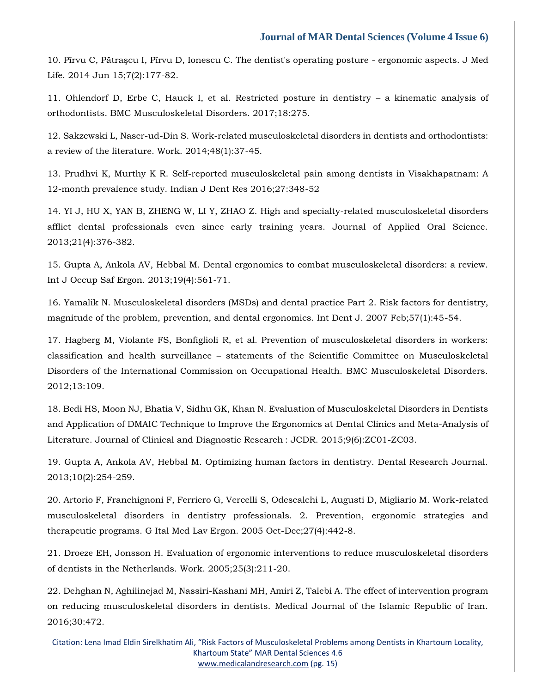[10. Pîrvu C, Pătraşcu I, Pîrvu D, Ionescu C. The dentist's operating posture](https://www.google.com/search?q=The+dentist%27s+operating+posture+-+ergonomic+aspects&sxsrf=APq-WBuFnwcILUnNUQnMmCTat94k5XMq3Q%3A1645438115665&ei=o2QTYtfwJ4KRseMP0cCnqAY&ved=0ahUKEwiXzojTxpD2AhWCSGwGHVHgCWUQ4dUDCA4&oq=The+dentist%27s+operating+posture+-+ergonomic+aspects&gs_lcp=Cgdnd3Mtd2l6EAwyCAghEBYQHRAeOgcIIxDqAhAnSgQIQRgASgQIRhgAUKwIWKwIYMMQaAFwAHgAgAF0iAF0kgEDMC4xmAEAoAEBoAECsAEKwAEB&sclient=gws-wiz) - ergonomic aspects. J Med [Life. 2014 Jun 15;7\(2\):177-82.](https://www.google.com/search?q=The+dentist%27s+operating+posture+-+ergonomic+aspects&sxsrf=APq-WBuFnwcILUnNUQnMmCTat94k5XMq3Q%3A1645438115665&ei=o2QTYtfwJ4KRseMP0cCnqAY&ved=0ahUKEwiXzojTxpD2AhWCSGwGHVHgCWUQ4dUDCA4&oq=The+dentist%27s+operating+posture+-+ergonomic+aspects&gs_lcp=Cgdnd3Mtd2l6EAwyCAghEBYQHRAeOgcIIxDqAhAnSgQIQRgASgQIRhgAUKwIWKwIYMMQaAFwAHgAgAF0iAF0kgEDMC4xmAEAoAEBoAECsAEKwAEB&sclient=gws-wiz)

[11. Ohlendorf D, Erbe C, Hauck I, et al. Restricted posture in dentistry](https://www.google.com/search?q=Restricted+posture+in+dentistry+%E2%80%93+a+kinematic+analysis+of+orthodontists&sxsrf=APq-WBvaJtw8iHChK-F6oijr9ohSKL48nQ%3A1645438134498&ei=tmQTYseNHdWQseMPytOd8AM&ved=0ahUKEwjHwIXcxpD2AhVVSGwGHcppBz4Q4dUDCA4&oq=Restricted+posture+in+dentistry+%E2%80%93+a+kinematic+analysis+of+orthodontists&gs_lcp=Cgdnd3Mtd2l6EAw6BwgjEOoCECdKBAhBGABKBAhGGABQ-QdY-QdgngtoAXABeACAAYABiAGAAZIBAzAuMZgBAKABAaABArABCsABAQ&sclient=gws-wiz) – a kinematic analysis of [orthodontists. BMC Musculoskeletal Disorders. 2017;18:275.](https://www.google.com/search?q=Restricted+posture+in+dentistry+%E2%80%93+a+kinematic+analysis+of+orthodontists&sxsrf=APq-WBvaJtw8iHChK-F6oijr9ohSKL48nQ%3A1645438134498&ei=tmQTYseNHdWQseMPytOd8AM&ved=0ahUKEwjHwIXcxpD2AhVVSGwGHcppBz4Q4dUDCA4&oq=Restricted+posture+in+dentistry+%E2%80%93+a+kinematic+analysis+of+orthodontists&gs_lcp=Cgdnd3Mtd2l6EAw6BwgjEOoCECdKBAhBGABKBAhGGABQ-QdY-QdgngtoAXABeACAAYABiAGAAZIBAzAuMZgBAKABAaABArABCsABAQ&sclient=gws-wiz)

[12. Sakzewski L, Naser-ud-Din S. Work-related musculoskeletal disorders in dentists and orthodontists:](https://www.google.com/search?q=Work-related+musculoskeletal+disorders+in+dentists+and+orthodontists%3A+a+review+of+the+literature&sxsrf=APq-WBv9Jk1Vx4UPDyG1VTd0joC66OIurw%3A1645438152429&ei=yGQTYt_oGfqbseMP-varkAc&ved=0ahUKEwjf7MzkxpD2AhX6TWwGHXr7CnIQ4dUDCA4&oq=Work-related+musculoskeletal+disorders+in+dentists+and+orthodontists%3A+a+review+of+the+literature&gs_lcp=Cgdnd3Mtd2l6EAw6BwgjEOoCECdKBAhBGABKBAhGGABQvARYvARg1whoAXAAeACAAfYCiAH2ApIBAzMtMZgBAKABAaABArABCsABAQ&sclient=gws-wiz)  [a review of the literature. Work. 2014;48\(1\):37-45.](https://www.google.com/search?q=Work-related+musculoskeletal+disorders+in+dentists+and+orthodontists%3A+a+review+of+the+literature&sxsrf=APq-WBv9Jk1Vx4UPDyG1VTd0joC66OIurw%3A1645438152429&ei=yGQTYt_oGfqbseMP-varkAc&ved=0ahUKEwjf7MzkxpD2AhX6TWwGHXr7CnIQ4dUDCA4&oq=Work-related+musculoskeletal+disorders+in+dentists+and+orthodontists%3A+a+review+of+the+literature&gs_lcp=Cgdnd3Mtd2l6EAw6BwgjEOoCECdKBAhBGABKBAhGGABQvARYvARg1whoAXAAeACAAfYCiAH2ApIBAzMtMZgBAKABAaABArABCsABAQ&sclient=gws-wiz)

[13. Prudhvi K, Murthy K R. Self-reported musculoskeletal pain among dentists in Visakhapatnam: A](https://www.google.com/search?q=A+12-month+prevalence+study&sxsrf=APq-WBsZYmyOckkwMwosWWsVwr7aYo8nUA%3A1645438170565&ei=2mQTYvnjIc6UseMPpOKM6Ag&ved=0ahUKEwj5uJ_txpD2AhVOSmwGHSQxA40Q4dUDCA4&oq=A+12-month+prevalence+study&gs_lcp=Cgdnd3Mtd2l6EAwyBQghEKABOgcIIxDqAhAnSgQIQRgASgQIRhgAUJoDWJoDYM4GaAFwAHgAgAGPAYgBjwGSAQMwLjGYAQCgAQGgAQKwAQrAAQE&sclient=gws-wiz)  [12-month prevalence study. Indian J Dent Res 2016;27:348-52](https://www.google.com/search?q=A+12-month+prevalence+study&sxsrf=APq-WBsZYmyOckkwMwosWWsVwr7aYo8nUA%3A1645438170565&ei=2mQTYvnjIc6UseMPpOKM6Ag&ved=0ahUKEwj5uJ_txpD2AhVOSmwGHSQxA40Q4dUDCA4&oq=A+12-month+prevalence+study&gs_lcp=Cgdnd3Mtd2l6EAwyBQghEKABOgcIIxDqAhAnSgQIQRgASgQIRhgAUJoDWJoDYM4GaAFwAHgAgAGPAYgBjwGSAQMwLjGYAQCgAQGgAQKwAQrAAQE&sclient=gws-wiz)

[14. YI J, HU X, YAN B, ZHENG W, LI Y, ZHAO Z. High and specialty-related musculoskeletal disorders](https://www.google.com/search?q=High+and+specialty-related+musculoskeletal+disorders+afflict+dental+professionals+even+since+early+training+years&sxsrf=APq-WBvmHarU0OmrwxbnSBoRqKSpdJrT1A%3A1645438188023&ei=7GQTYpNM1J6x4w_u8Jm4Cg&ved=0ahUKEwiT8sj1xpD2AhVUT2wGHW54BqcQ4dUDCA4&oq=High+and+specialty-related+musculoskeletal+disorders+afflict+dental+professionals+even+since+early+training+years&gs_lcp=Cgdnd3Mtd2l6EAwyBwgjEOoCECcyBwgjEOoCECcyBwgjEOoCECcyBwgjEOoCECcyBwgjEOoCECcyBwgjEOoCECcyBwgjEOoCECcyBwgjEOoCECcyBwgjEOoCECcyBwgjEOoCECdKBAhBGABKBAhGGABQ3QJY3QJgkQZoAXABeACAAQCIAQCSAQCYAQCgAQGgAQKwAQrAAQE&sclient=gws-wiz)  [afflict dental professionals even since early training years. Journal of Applied Oral Science.](https://www.google.com/search?q=High+and+specialty-related+musculoskeletal+disorders+afflict+dental+professionals+even+since+early+training+years&sxsrf=APq-WBvmHarU0OmrwxbnSBoRqKSpdJrT1A%3A1645438188023&ei=7GQTYpNM1J6x4w_u8Jm4Cg&ved=0ahUKEwiT8sj1xpD2AhVUT2wGHW54BqcQ4dUDCA4&oq=High+and+specialty-related+musculoskeletal+disorders+afflict+dental+professionals+even+since+early+training+years&gs_lcp=Cgdnd3Mtd2l6EAwyBwgjEOoCECcyBwgjEOoCECcyBwgjEOoCECcyBwgjEOoCECcyBwgjEOoCECcyBwgjEOoCECcyBwgjEOoCECcyBwgjEOoCECcyBwgjEOoCECcyBwgjEOoCECdKBAhBGABKBAhGGABQ3QJY3QJgkQZoAXABeACAAQCIAQCSAQCYAQCgAQGgAQKwAQrAAQE&sclient=gws-wiz)  [2013;21\(4\):376-382.](https://www.google.com/search?q=High+and+specialty-related+musculoskeletal+disorders+afflict+dental+professionals+even+since+early+training+years&sxsrf=APq-WBvmHarU0OmrwxbnSBoRqKSpdJrT1A%3A1645438188023&ei=7GQTYpNM1J6x4w_u8Jm4Cg&ved=0ahUKEwiT8sj1xpD2AhVUT2wGHW54BqcQ4dUDCA4&oq=High+and+specialty-related+musculoskeletal+disorders+afflict+dental+professionals+even+since+early+training+years&gs_lcp=Cgdnd3Mtd2l6EAwyBwgjEOoCECcyBwgjEOoCECcyBwgjEOoCECcyBwgjEOoCECcyBwgjEOoCECcyBwgjEOoCECcyBwgjEOoCECcyBwgjEOoCECcyBwgjEOoCECcyBwgjEOoCECdKBAhBGABKBAhGGABQ3QJY3QJgkQZoAXABeACAAQCIAQCSAQCYAQCgAQGgAQKwAQrAAQE&sclient=gws-wiz)

[15. Gupta A, Ankola AV, Hebbal M. Dental ergonomics to combat musculoskeletal disorders: a review.](https://www.google.com/search?q=Dental+ergonomics+to+combat+musculoskeletal+disorders&sxsrf=APq-WBvMYFi8oNPYgw04ndawsBdP9camag%3A1645438212480&ei=BGUTYoTNHKiVseMP94qZ8A4&ved=0ahUKEwiE352Bx5D2AhWoSmwGHXdFBu4Q4dUDCA4&oq=Dental+ergonomics+to+combat+musculoskeletal+disorders&gs_lcp=Cgdnd3Mtd2l6EAwyBAgjECcyBggAEBYQHjoHCCMQ6gIQJ0oECEEYAEoECEYYAFCKA1iKA2C8BmgBcAB4AIABdIgBdJIBAzAuMZgBAKABAaABArABCsABAQ&sclient=gws-wiz)  [Int J Occup Saf Ergon. 2013;19\(4\):561-71.](https://www.google.com/search?q=Dental+ergonomics+to+combat+musculoskeletal+disorders&sxsrf=APq-WBvMYFi8oNPYgw04ndawsBdP9camag%3A1645438212480&ei=BGUTYoTNHKiVseMP94qZ8A4&ved=0ahUKEwiE352Bx5D2AhWoSmwGHXdFBu4Q4dUDCA4&oq=Dental+ergonomics+to+combat+musculoskeletal+disorders&gs_lcp=Cgdnd3Mtd2l6EAwyBAgjECcyBggAEBYQHjoHCCMQ6gIQJ0oECEEYAEoECEYYAFCKA1iKA2C8BmgBcAB4AIABdIgBdJIBAzAuMZgBAKABAaABArABCsABAQ&sclient=gws-wiz)

[16. Yamalik N. Musculoskeletal disorders \(MSDs\) and dental practice Part](https://www.google.com/search?q=Risk+factors+for+dentistry%2C+magnitude+of+the+problem%2C+prevention%2C+and+dental+ergonomics&sxsrf=APq-WBtozHewl3lPHbSqUY8jLIu7_LX4rw%3A1645438231704&ei=F2UTYtuvKoWaseMP9puw6Ag&ved=0ahUKEwibl7OKx5D2AhUFTWwGHfYNDI0Q4dUDCA4&oq=Risk+factors+for+dentistry%2C+magnitude+of+the+problem%2C+prevention%2C+and+dental+ergonomics&gs_lcp=Cgdnd3Mtd2l6EAw6BwgjEOoCECdKBAhBGABKBAhGGABQhgNYhgNgqgZoAXAAeACAAXSIAXSSAQMwLjGYAQCgAQGgAQKwAQrAAQE&sclient=gws-wiz) 2. Risk factors for dentistry, [magnitude of the problem, prevention, and dental ergonomics. Int Dent J. 2007 Feb;57\(1\):45-54.](https://www.google.com/search?q=Risk+factors+for+dentistry%2C+magnitude+of+the+problem%2C+prevention%2C+and+dental+ergonomics&sxsrf=APq-WBtozHewl3lPHbSqUY8jLIu7_LX4rw%3A1645438231704&ei=F2UTYtuvKoWaseMP9puw6Ag&ved=0ahUKEwibl7OKx5D2AhUFTWwGHfYNDI0Q4dUDCA4&oq=Risk+factors+for+dentistry%2C+magnitude+of+the+problem%2C+prevention%2C+and+dental+ergonomics&gs_lcp=Cgdnd3Mtd2l6EAw6BwgjEOoCECdKBAhBGABKBAhGGABQhgNYhgNgqgZoAXAAeACAAXSIAXSSAQMwLjGYAQCgAQGgAQKwAQrAAQE&sclient=gws-wiz)

[17. Hagberg M, Violante FS, Bonfiglioli R, et al. Prevention of musculoskeletal disorders in workers:](https://www.google.com/search?q=Prevention+of+musculoskeletal+disorders+in+workers%3A+classification+and+health+surveillance+%E2%80%93+statements+of+the+Scientific+Committee+on+Musculoskeletal+Disorders+of+the+International+Commission+on+Occupational+Health&sxsrf=APq-WBsxuo9hEPGg3tfcMYJp48vzNDOitQ%3A1645438256166&ei=MGUTYtvACd-QseMPtp2zmAQ&ved=0ahUKEwjbmIiWx5D2AhVfSGwGHbbODEMQ4dUDCA4&oq=Prevention+of+musculoskeletal+disorders+in+workers%3A+classification+and+health+surveillance+%E2%80%93+statements+of+the+Scientific+Committee+on+Musculoskeletal+Disorders+of+the+International+Commission+on+Occupational+Health&gs_lcp=Cgdnd3Mtd2l6EAwyBwgjEOoCECcyBwgjEOoCECcyBwgjEOoCECcyBwgjEOoCECcyBwgjEOoCECcyBwgjEOoCECcyBwgjEOoCECcyBwgjEOoCECcyBwgjEOoCECcyBwgjEOoCECdKBAhBGABKBAhGGABQjQhYjQhgig1oAXABeACAAQCIAQCSAQCYAQCgAQGgAQKwAQrAAQE&sclient=gws-wiz)  classification and health surveillance – [statements of the Scientific Committee on Musculoskeletal](https://www.google.com/search?q=Prevention+of+musculoskeletal+disorders+in+workers%3A+classification+and+health+surveillance+%E2%80%93+statements+of+the+Scientific+Committee+on+Musculoskeletal+Disorders+of+the+International+Commission+on+Occupational+Health&sxsrf=APq-WBsxuo9hEPGg3tfcMYJp48vzNDOitQ%3A1645438256166&ei=MGUTYtvACd-QseMPtp2zmAQ&ved=0ahUKEwjbmIiWx5D2AhVfSGwGHbbODEMQ4dUDCA4&oq=Prevention+of+musculoskeletal+disorders+in+workers%3A+classification+and+health+surveillance+%E2%80%93+statements+of+the+Scientific+Committee+on+Musculoskeletal+Disorders+of+the+International+Commission+on+Occupational+Health&gs_lcp=Cgdnd3Mtd2l6EAwyBwgjEOoCECcyBwgjEOoCECcyBwgjEOoCECcyBwgjEOoCECcyBwgjEOoCECcyBwgjEOoCECcyBwgjEOoCECcyBwgjEOoCECcyBwgjEOoCECcyBwgjEOoCECdKBAhBGABKBAhGGABQjQhYjQhgig1oAXABeACAAQCIAQCSAQCYAQCgAQGgAQKwAQrAAQE&sclient=gws-wiz)  [Disorders of the International Commission on Occupational Health. BMC Musculoskeletal Disorders.](https://www.google.com/search?q=Prevention+of+musculoskeletal+disorders+in+workers%3A+classification+and+health+surveillance+%E2%80%93+statements+of+the+Scientific+Committee+on+Musculoskeletal+Disorders+of+the+International+Commission+on+Occupational+Health&sxsrf=APq-WBsxuo9hEPGg3tfcMYJp48vzNDOitQ%3A1645438256166&ei=MGUTYtvACd-QseMPtp2zmAQ&ved=0ahUKEwjbmIiWx5D2AhVfSGwGHbbODEMQ4dUDCA4&oq=Prevention+of+musculoskeletal+disorders+in+workers%3A+classification+and+health+surveillance+%E2%80%93+statements+of+the+Scientific+Committee+on+Musculoskeletal+Disorders+of+the+International+Commission+on+Occupational+Health&gs_lcp=Cgdnd3Mtd2l6EAwyBwgjEOoCECcyBwgjEOoCECcyBwgjEOoCECcyBwgjEOoCECcyBwgjEOoCECcyBwgjEOoCECcyBwgjEOoCECcyBwgjEOoCECcyBwgjEOoCECcyBwgjEOoCECdKBAhBGABKBAhGGABQjQhYjQhgig1oAXABeACAAQCIAQCSAQCYAQCgAQGgAQKwAQrAAQE&sclient=gws-wiz)  [2012;13:109.](https://www.google.com/search?q=Prevention+of+musculoskeletal+disorders+in+workers%3A+classification+and+health+surveillance+%E2%80%93+statements+of+the+Scientific+Committee+on+Musculoskeletal+Disorders+of+the+International+Commission+on+Occupational+Health&sxsrf=APq-WBsxuo9hEPGg3tfcMYJp48vzNDOitQ%3A1645438256166&ei=MGUTYtvACd-QseMPtp2zmAQ&ved=0ahUKEwjbmIiWx5D2AhVfSGwGHbbODEMQ4dUDCA4&oq=Prevention+of+musculoskeletal+disorders+in+workers%3A+classification+and+health+surveillance+%E2%80%93+statements+of+the+Scientific+Committee+on+Musculoskeletal+Disorders+of+the+International+Commission+on+Occupational+Health&gs_lcp=Cgdnd3Mtd2l6EAwyBwgjEOoCECcyBwgjEOoCECcyBwgjEOoCECcyBwgjEOoCECcyBwgjEOoCECcyBwgjEOoCECcyBwgjEOoCECcyBwgjEOoCECcyBwgjEOoCECcyBwgjEOoCECdKBAhBGABKBAhGGABQjQhYjQhgig1oAXABeACAAQCIAQCSAQCYAQCgAQGgAQKwAQrAAQE&sclient=gws-wiz)

[18. Bedi HS, Moon NJ, Bhatia V, Sidhu GK, Khan N. Evaluation of Musculoskeletal Disorders in Dentists](https://www.google.com/search?q=Evaluation+of+Musculoskeletal+Disorders+in+Dentists+and+Application+of+DMAIC+Technique+to+Improve+the+Ergonomics+at+Dental+Clinics+and+Meta-Analysis+of+Literature&sxsrf=APq-WBtp8Nte_fcqUPU6GYIKq5FxXO8U6w%3A1645438283903&ei=S2UTYq3FNqOTseMPpIa3-As&ved=0ahUKEwjtlqWjx5D2AhWjSWwGHSTDDb8Q4dUDCA4&oq=Evaluation+of+Musculoskeletal+Disorders+in+Dentists+and+Application+of+DMAIC+Technique+to+Improve+the+Ergonomics+at+Dental+Clinics+and+Meta-Analysis+of+Literature&gs_lcp=Cgdnd3Mtd2l6EAwyBwgjEOoCECcyBwgjEOoCECcyBwgjEOoCECcyBwgjEOoCECcyBwgjEOoCECcyBwgjEOoCECcyBwgjEOoCECcyBwgjEOoCECcyBwgjEOoCECcyBwgjEOoCECdKBAhBGABKBAhGGABQhgNYhgNg6AZoAXAAeACAAQCIAQCSAQCYAQCgAQGgAQKwAQrAAQE&sclient=gws-wiz)  [and Application of DMAIC Technique to Improve the Ergonomics at Dental Clinics and Meta-Analysis of](https://www.google.com/search?q=Evaluation+of+Musculoskeletal+Disorders+in+Dentists+and+Application+of+DMAIC+Technique+to+Improve+the+Ergonomics+at+Dental+Clinics+and+Meta-Analysis+of+Literature&sxsrf=APq-WBtp8Nte_fcqUPU6GYIKq5FxXO8U6w%3A1645438283903&ei=S2UTYq3FNqOTseMPpIa3-As&ved=0ahUKEwjtlqWjx5D2AhWjSWwGHSTDDb8Q4dUDCA4&oq=Evaluation+of+Musculoskeletal+Disorders+in+Dentists+and+Application+of+DMAIC+Technique+to+Improve+the+Ergonomics+at+Dental+Clinics+and+Meta-Analysis+of+Literature&gs_lcp=Cgdnd3Mtd2l6EAwyBwgjEOoCECcyBwgjEOoCECcyBwgjEOoCECcyBwgjEOoCECcyBwgjEOoCECcyBwgjEOoCECcyBwgjEOoCECcyBwgjEOoCECcyBwgjEOoCECcyBwgjEOoCECdKBAhBGABKBAhGGABQhgNYhgNg6AZoAXAAeACAAQCIAQCSAQCYAQCgAQGgAQKwAQrAAQE&sclient=gws-wiz)  [Literature. Journal of Clinical and Diagnostic Research](https://www.google.com/search?q=Evaluation+of+Musculoskeletal+Disorders+in+Dentists+and+Application+of+DMAIC+Technique+to+Improve+the+Ergonomics+at+Dental+Clinics+and+Meta-Analysis+of+Literature&sxsrf=APq-WBtp8Nte_fcqUPU6GYIKq5FxXO8U6w%3A1645438283903&ei=S2UTYq3FNqOTseMPpIa3-As&ved=0ahUKEwjtlqWjx5D2AhWjSWwGHSTDDb8Q4dUDCA4&oq=Evaluation+of+Musculoskeletal+Disorders+in+Dentists+and+Application+of+DMAIC+Technique+to+Improve+the+Ergonomics+at+Dental+Clinics+and+Meta-Analysis+of+Literature&gs_lcp=Cgdnd3Mtd2l6EAwyBwgjEOoCECcyBwgjEOoCECcyBwgjEOoCECcyBwgjEOoCECcyBwgjEOoCECcyBwgjEOoCECcyBwgjEOoCECcyBwgjEOoCECcyBwgjEOoCECcyBwgjEOoCECdKBAhBGABKBAhGGABQhgNYhgNg6AZoAXAAeACAAQCIAQCSAQCYAQCgAQGgAQKwAQrAAQE&sclient=gws-wiz) : JCDR. 2015;9(6):ZC01-ZC03.

[19. Gupta A, Ankola AV, Hebbal M. Optimizing human factors in dentistry. Dental Research Journal.](https://www.google.com/search?q=Optimizing+human+factors+in+dentistry.+&sxsrf=APq-WBs2SLBno2ZPnp2XdqLnn7vWkk7GRA%3A1645438302790&ei=XmUTYt_bL9OUseMPj_OVmA4&ved=0ahUKEwjfgqasx5D2AhVTSmwGHY95BeMQ4dUDCA4&oq=Optimizing+human+factors+in+dentistry.+&gs_lcp=Cgdnd3Mtd2l6EAwyCAghEBYQHRAeMggIIRAWEB0QHjIICCEQFhAdEB46BwgjEOoCECdKBAhBGABKBAhGGABQ6QFY6QFgvAVoAXAAeACAAWuIAWuSAQMwLjGYAQCgAQGgAQKwAQrAAQE&sclient=gws-wiz)  [2013;10\(2\):254-259.](https://www.google.com/search?q=Optimizing+human+factors+in+dentistry.+&sxsrf=APq-WBs2SLBno2ZPnp2XdqLnn7vWkk7GRA%3A1645438302790&ei=XmUTYt_bL9OUseMPj_OVmA4&ved=0ahUKEwjfgqasx5D2AhVTSmwGHY95BeMQ4dUDCA4&oq=Optimizing+human+factors+in+dentistry.+&gs_lcp=Cgdnd3Mtd2l6EAwyCAghEBYQHRAeMggIIRAWEB0QHjIICCEQFhAdEB46BwgjEOoCECdKBAhBGABKBAhGGABQ6QFY6QFgvAVoAXAAeACAAWuIAWuSAQMwLjGYAQCgAQGgAQKwAQrAAQE&sclient=gws-wiz)

[20. Artorio F, Franchignoni F, Ferriero G, Vercelli S, Odescalchi L, Augusti D, Migliario M. Work-related](https://www.google.com/search?q=Work-related+musculoskeletal+disorders+in+dentistry+professionals&sxsrf=APq-WBurTL2_b6epVOjHoFCjcFuaggpvqw%3A1645438316898&ei=bGUTYsqENrqfseMP4LOayAY&ved=0ahUKEwjK6oKzx5D2AhW6T2wGHeCZBmkQ4dUDCA4&oq=Work-related+musculoskeletal+disorders+in+dentistry+professionals&gs_lcp=Cgdnd3Mtd2l6EAw6BwgjEOoCECdKBAhBGABKBAhGGABQjwJYjwJgigdoAXAAeACAAXmIAXmSAQMwLjGYAQCgAQGgAQKwAQrAAQE&sclient=gws-wiz)  [musculoskeletal disorders in dentistry professionals. 2.](https://www.google.com/search?q=Work-related+musculoskeletal+disorders+in+dentistry+professionals&sxsrf=APq-WBurTL2_b6epVOjHoFCjcFuaggpvqw%3A1645438316898&ei=bGUTYsqENrqfseMP4LOayAY&ved=0ahUKEwjK6oKzx5D2AhW6T2wGHeCZBmkQ4dUDCA4&oq=Work-related+musculoskeletal+disorders+in+dentistry+professionals&gs_lcp=Cgdnd3Mtd2l6EAw6BwgjEOoCECdKBAhBGABKBAhGGABQjwJYjwJgigdoAXAAeACAAXmIAXmSAQMwLjGYAQCgAQGgAQKwAQrAAQE&sclient=gws-wiz) Prevention, ergonomic strategies and [therapeutic programs. G Ital Med Lav Ergon. 2005 Oct-Dec;27\(4\):442-8.](https://www.google.com/search?q=Work-related+musculoskeletal+disorders+in+dentistry+professionals&sxsrf=APq-WBurTL2_b6epVOjHoFCjcFuaggpvqw%3A1645438316898&ei=bGUTYsqENrqfseMP4LOayAY&ved=0ahUKEwjK6oKzx5D2AhW6T2wGHeCZBmkQ4dUDCA4&oq=Work-related+musculoskeletal+disorders+in+dentistry+professionals&gs_lcp=Cgdnd3Mtd2l6EAw6BwgjEOoCECdKBAhBGABKBAhGGABQjwJYjwJgigdoAXAAeACAAXmIAXmSAQMwLjGYAQCgAQGgAQKwAQrAAQE&sclient=gws-wiz)

[21. Droeze EH, Jonsson H. Evaluation of ergonomic interventions to reduce musculoskeletal disorders](https://www.google.com/search?q=Evaluation+of+ergonomic+interventions+to+reduce+musculoskeletal+disorders+of+dentists+in+the+Netherlands&sxsrf=APq-WBt5go15B1QSG6sAU91lUj03j0LSXw%3A1645438333108&ei=fWUTYt6FBpmYseMPsZ-C-Ao&ved=0ahUKEwieuOC6x5D2AhUZTGwGHbGPAK8Q4dUDCA4&oq=Evaluation+of+ergonomic+interventions+to+reduce+musculoskeletal+disorders+of+dentists+in+the+Netherlands&gs_lcp=Cgdnd3Mtd2l6EAwyBwgjEOoCECcyBwgjEOoCECcyBwgjEOoCECcyBwgjEOoCECcyBwgjEOoCECcyBwgjEOoCECcyBwgjEOoCECcyBwgjEOoCECcyBwgjEOoCECcyBwgjEOoCECdKBAhBGABKBAhGGABQywJYywJgkQhoAXABeACAAQCIAQCSAQCYAQCgAQGgAQKwAQrAAQE&sclient=gws-wiz)  [of dentists in the Netherlands. Work. 2005;25\(3\):211-20.](https://www.google.com/search?q=Evaluation+of+ergonomic+interventions+to+reduce+musculoskeletal+disorders+of+dentists+in+the+Netherlands&sxsrf=APq-WBt5go15B1QSG6sAU91lUj03j0LSXw%3A1645438333108&ei=fWUTYt6FBpmYseMPsZ-C-Ao&ved=0ahUKEwieuOC6x5D2AhUZTGwGHbGPAK8Q4dUDCA4&oq=Evaluation+of+ergonomic+interventions+to+reduce+musculoskeletal+disorders+of+dentists+in+the+Netherlands&gs_lcp=Cgdnd3Mtd2l6EAwyBwgjEOoCECcyBwgjEOoCECcyBwgjEOoCECcyBwgjEOoCECcyBwgjEOoCECcyBwgjEOoCECcyBwgjEOoCECcyBwgjEOoCECcyBwgjEOoCECcyBwgjEOoCECdKBAhBGABKBAhGGABQywJYywJgkQhoAXABeACAAQCIAQCSAQCYAQCgAQGgAQKwAQrAAQE&sclient=gws-wiz)

[22. Dehghan N, Aghilinejad M, Nassiri-Kashani MH, Amiri Z, Talebi A. The effect of intervention program](https://www.google.com/search?q=The+effect+of+intervention+program+on+reducing+musculoskeletal+disorders+in+dentists&sxsrf=APq-WBtHwuOlpaeRaGANrFjoQyCCHjWpZA%3A1645438347881&ei=i2UTYsueNbieseMP88uIwA0&ved=0ahUKEwiLkObBx5D2AhU4T2wGHfMlAtgQ4dUDCA4&oq=The+effect+of+intervention+program+on+reducing+musculoskeletal+disorders+in+dentists&gs_lcp=Cgdnd3Mtd2l6EAw6BwgjEOoCECdKBAhBGABKBAhGGABQiAhYiAhgygxoAXAAeACAAWmIAWmSAQMwLjGYAQCgAQGgAQKwAQrAAQE&sclient=gws-wiz)  [on reducing musculoskeletal disorders in dentists. Medical Journal of the Islamic Republic of Iran.](https://www.google.com/search?q=The+effect+of+intervention+program+on+reducing+musculoskeletal+disorders+in+dentists&sxsrf=APq-WBtHwuOlpaeRaGANrFjoQyCCHjWpZA%3A1645438347881&ei=i2UTYsueNbieseMP88uIwA0&ved=0ahUKEwiLkObBx5D2AhU4T2wGHfMlAtgQ4dUDCA4&oq=The+effect+of+intervention+program+on+reducing+musculoskeletal+disorders+in+dentists&gs_lcp=Cgdnd3Mtd2l6EAw6BwgjEOoCECdKBAhBGABKBAhGGABQiAhYiAhgygxoAXAAeACAAWmIAWmSAQMwLjGYAQCgAQGgAQKwAQrAAQE&sclient=gws-wiz)  [2016;30:472.](https://www.google.com/search?q=The+effect+of+intervention+program+on+reducing+musculoskeletal+disorders+in+dentists&sxsrf=APq-WBtHwuOlpaeRaGANrFjoQyCCHjWpZA%3A1645438347881&ei=i2UTYsueNbieseMP88uIwA0&ved=0ahUKEwiLkObBx5D2AhU4T2wGHfMlAtgQ4dUDCA4&oq=The+effect+of+intervention+program+on+reducing+musculoskeletal+disorders+in+dentists&gs_lcp=Cgdnd3Mtd2l6EAw6BwgjEOoCECdKBAhBGABKBAhGGABQiAhYiAhgygxoAXAAeACAAWmIAWmSAQMwLjGYAQCgAQGgAQKwAQrAAQE&sclient=gws-wiz)

Citation: Lena Imad Eldin Sirelkhatim Ali, "Risk Factors of Musculoskeletal Problems among Dentists in Khartoum Locality, Khartoum State" MAR Dental Sciences 4.6 [www.medicalandresearch.com](http://www.medicalandresearch.com/) (pg. 15)